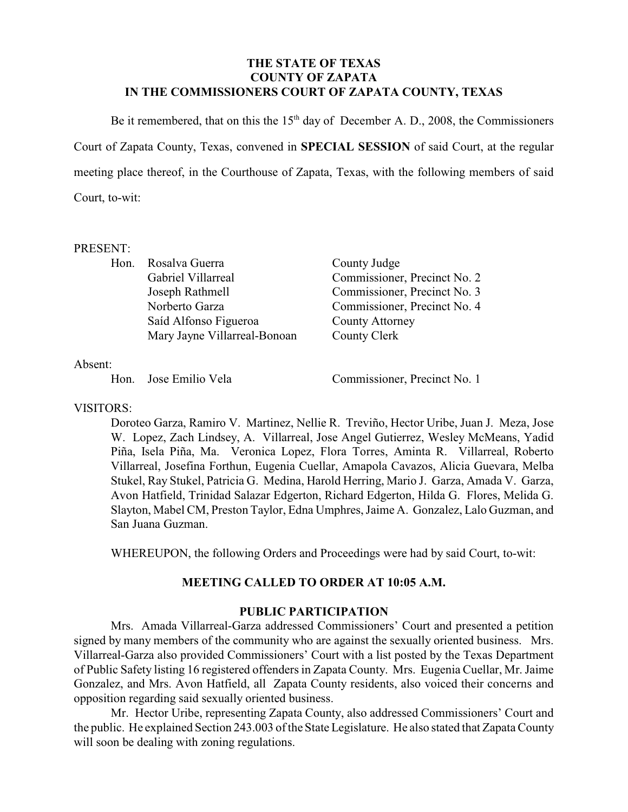### **THE STATE OF TEXAS COUNTY OF ZAPATA IN THE COMMISSIONERS COURT OF ZAPATA COUNTY, TEXAS**

Be it remembered, that on this the  $15<sup>th</sup>$  day of December A. D., 2008, the Commissioners Court of Zapata County, Texas, convened in **SPECIAL SESSION** of said Court, at the regular meeting place thereof, in the Courthouse of Zapata, Texas, with the following members of said Court, to-wit:

#### PRESENT:

| Hon. Rosalva Guerra          | County Judge                 |
|------------------------------|------------------------------|
| Gabriel Villarreal           | Commissioner, Precinct No. 2 |
| Joseph Rathmell              | Commissioner, Precinct No. 3 |
| Norberto Garza               | Commissioner, Precinct No. 4 |
| Saíd Alfonso Figueroa        | <b>County Attorney</b>       |
| Mary Jayne Villarreal-Bonoan | County Clerk                 |
|                              |                              |

Absent:

Hon. Jose Emilio Vela Commissioner, Precinct No. 1

VISITORS:

Doroteo Garza, Ramiro V. Martinez, Nellie R. Treviño, Hector Uribe, Juan J. Meza, Jose W. Lopez, Zach Lindsey, A. Villarreal, Jose Angel Gutierrez, Wesley McMeans, Yadid Piña, Isela Piña, Ma. Veronica Lopez, Flora Torres, Aminta R. Villarreal, Roberto Villarreal, Josefina Forthun, Eugenia Cuellar, Amapola Cavazos, Alicia Guevara, Melba Stukel, Ray Stukel, Patricia G. Medina, Harold Herring, Mario J. Garza, Amada V. Garza, Avon Hatfield, Trinidad Salazar Edgerton, Richard Edgerton, Hilda G. Flores, Melida G. Slayton, Mabel CM, Preston Taylor, Edna Umphres, Jaime A. Gonzalez, Lalo Guzman, and San Juana Guzman.

WHEREUPON, the following Orders and Proceedings were had by said Court, to-wit:

# **MEETING CALLED TO ORDER AT 10:05 A.M.**

# **PUBLIC PARTICIPATION**

Mrs. Amada Villarreal-Garza addressed Commissioners' Court and presented a petition signed by many members of the community who are against the sexually oriented business. Mrs. Villarreal-Garza also provided Commissioners' Court with a list posted by the Texas Department of Public Safety listing 16 registered offendersin Zapata County. Mrs. Eugenia Cuellar, Mr. Jaime Gonzalez, and Mrs. Avon Hatfield, all Zapata County residents, also voiced their concerns and opposition regarding said sexually oriented business.

Mr. Hector Uribe, representing Zapata County, also addressed Commissioners' Court and the public. He explained Section 243.003 of the State Legislature. He also stated that Zapata County will soon be dealing with zoning regulations.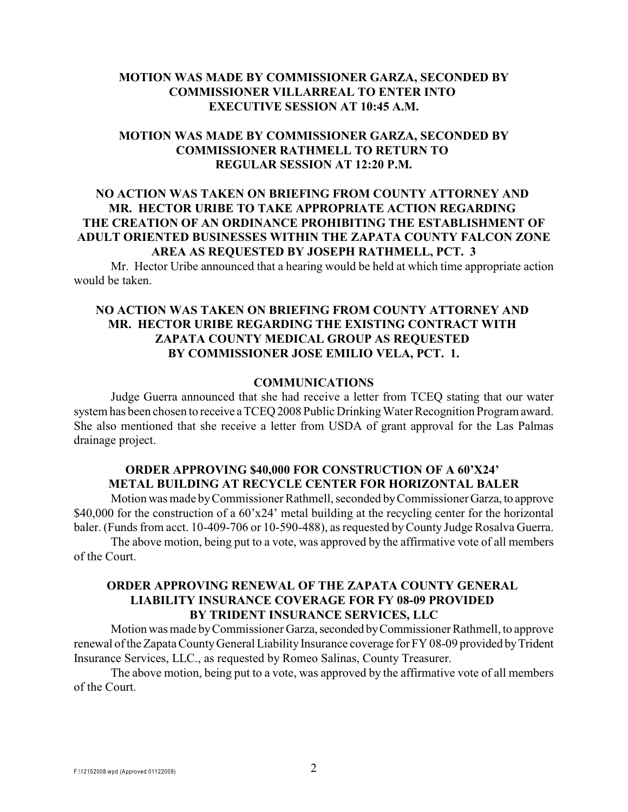### **MOTION WAS MADE BY COMMISSIONER GARZA, SECONDED BY COMMISSIONER VILLARREAL TO ENTER INTO EXECUTIVE SESSION AT 10:45 A.M.**

### **MOTION WAS MADE BY COMMISSIONER GARZA, SECONDED BY COMMISSIONER RATHMELL TO RETURN TO REGULAR SESSION AT 12:20 P.M.**

## **NO ACTION WAS TAKEN ON BRIEFING FROM COUNTY ATTORNEY AND MR. HECTOR URIBE TO TAKE APPROPRIATE ACTION REGARDING THE CREATION OF AN ORDINANCE PROHIBITING THE ESTABLISHMENT OF ADULT ORIENTED BUSINESSES WITHIN THE ZAPATA COUNTY FALCON ZONE AREA AS REQUESTED BY JOSEPH RATHMELL, PCT. 3**

Mr. Hector Uribe announced that a hearing would be held at which time appropriate action would be taken.

## **NO ACTION WAS TAKEN ON BRIEFING FROM COUNTY ATTORNEY AND MR. HECTOR URIBE REGARDING THE EXISTING CONTRACT WITH ZAPATA COUNTY MEDICAL GROUP AS REQUESTED BY COMMISSIONER JOSE EMILIO VELA, PCT. 1.**

#### **COMMUNICATIONS**

Judge Guerra announced that she had receive a letter from TCEQ stating that our water system has been chosen to receive a TCEQ 2008 Public Drinking Water Recognition Program award. She also mentioned that she receive a letter from USDA of grant approval for the Las Palmas drainage project.

#### **ORDER APPROVING \$40,000 FOR CONSTRUCTION OF A 60'X24' METAL BUILDING AT RECYCLE CENTER FOR HORIZONTAL BALER**

Motion was made by Commissioner Rathmell, seconded by Commissioner Garza, to approve \$40,000 for the construction of a 60'x24' metal building at the recycling center for the horizontal baler. (Funds from acct. 10-409-706 or 10-590-488), as requested by County Judge Rosalva Guerra.

The above motion, being put to a vote, was approved by the affirmative vote of all members of the Court.

### **ORDER APPROVING RENEWAL OF THE ZAPATA COUNTY GENERAL LIABILITY INSURANCE COVERAGE FOR FY 08-09 PROVIDED BY TRIDENT INSURANCE SERVICES, LLC**

Motion was made by Commissioner Garza, seconded by Commissioner Rathmell, to approve renewal of the Zapata County General Liability Insurance coverage for FY 08-09 provided by Trident Insurance Services, LLC., as requested by Romeo Salinas, County Treasurer.

The above motion, being put to a vote, was approved by the affirmative vote of all members of the Court.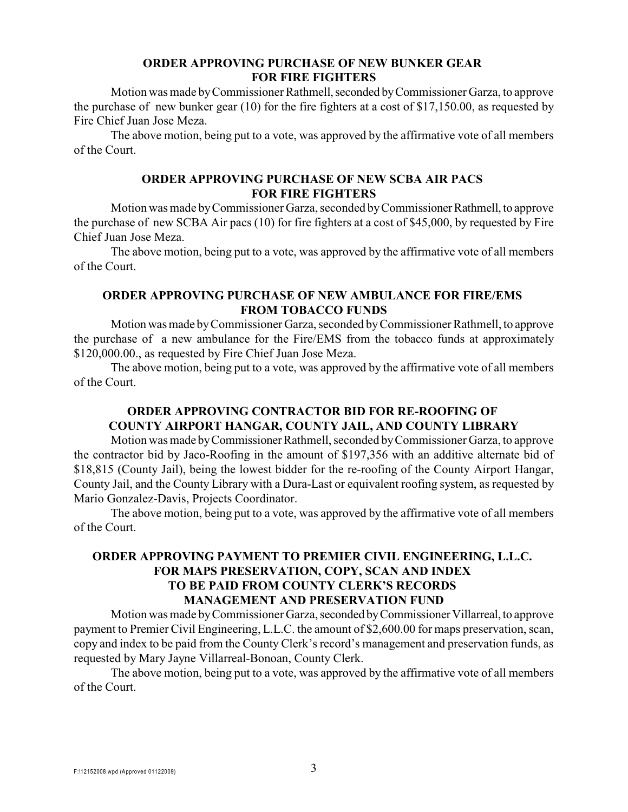### **ORDER APPROVING PURCHASE OF NEW BUNKER GEAR FOR FIRE FIGHTERS**

Motion was made by Commissioner Rathmell, seconded by Commissioner Garza, to approve the purchase of new bunker gear (10) for the fire fighters at a cost of \$17,150.00, as requested by Fire Chief Juan Jose Meza.

The above motion, being put to a vote, was approved by the affirmative vote of all members of the Court.

#### **ORDER APPROVING PURCHASE OF NEW SCBA AIR PACS FOR FIRE FIGHTERS**

Motion was made by Commissioner Garza, seconded by Commissioner Rathmell, to approve the purchase of new SCBA Air pacs (10) for fire fighters at a cost of \$45,000, by requested by Fire Chief Juan Jose Meza.

The above motion, being put to a vote, was approved by the affirmative vote of all members of the Court.

### **ORDER APPROVING PURCHASE OF NEW AMBULANCE FOR FIRE/EMS FROM TOBACCO FUNDS**

Motion was made by Commissioner Garza, seconded by Commissioner Rathmell, to approve the purchase of a new ambulance for the Fire/EMS from the tobacco funds at approximately \$120,000.00., as requested by Fire Chief Juan Jose Meza.

The above motion, being put to a vote, was approved by the affirmative vote of all members of the Court.

# **ORDER APPROVING CONTRACTOR BID FOR RE-ROOFING OF COUNTY AIRPORT HANGAR, COUNTY JAIL, AND COUNTY LIBRARY**

Motion was made by Commissioner Rathmell, seconded by Commissioner Garza, to approve the contractor bid by Jaco-Roofing in the amount of \$197,356 with an additive alternate bid of \$18,815 (County Jail), being the lowest bidder for the re-roofing of the County Airport Hangar, County Jail, and the County Library with a Dura-Last or equivalent roofing system, as requested by Mario Gonzalez-Davis, Projects Coordinator.

The above motion, being put to a vote, was approved by the affirmative vote of all members of the Court.

## **ORDER APPROVING PAYMENT TO PREMIER CIVIL ENGINEERING, L.L.C. FOR MAPS PRESERVATION, COPY, SCAN AND INDEX TO BE PAID FROM COUNTY CLERK'S RECORDS MANAGEMENT AND PRESERVATION FUND**

Motion was made by Commissioner Garza, seconded by Commissioner Villarreal, to approve payment to Premier Civil Engineering, L.L.C. the amount of \$2,600.00 for maps preservation, scan, copy and index to be paid from the County Clerk's record's management and preservation funds, as requested by Mary Jayne Villarreal-Bonoan, County Clerk.

The above motion, being put to a vote, was approved by the affirmative vote of all members of the Court.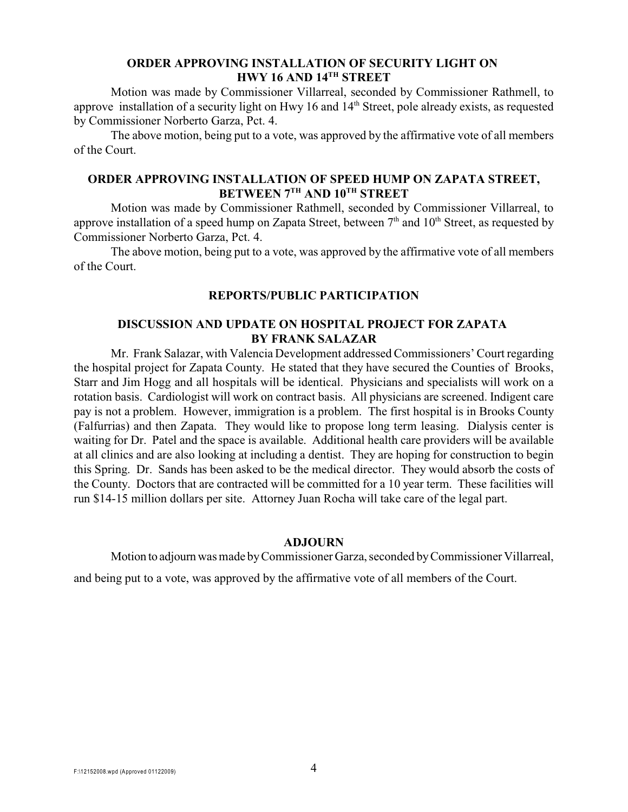### **ORDER APPROVING INSTALLATION OF SECURITY LIGHT ON HWY 16 AND 14TH STREET**

Motion was made by Commissioner Villarreal, seconded by Commissioner Rathmell, to approve installation of a security light on Hwy 16 and 14<sup>th</sup> Street, pole already exists, as requested by Commissioner Norberto Garza, Pct. 4.

The above motion, being put to a vote, was approved by the affirmative vote of all members of the Court.

### **ORDER APPROVING INSTALLATION OF SPEED HUMP ON ZAPATA STREET, BETWEEN 7<sup>TH</sup> AND 10<sup>TH</sup> STREET**

Motion was made by Commissioner Rathmell, seconded by Commissioner Villarreal, to approve installation of a speed hump on Zapata Street, between  $7<sup>th</sup>$  and  $10<sup>th</sup>$  Street, as requested by Commissioner Norberto Garza, Pct. 4.

The above motion, being put to a vote, was approved by the affirmative vote of all members of the Court.

#### **REPORTS/PUBLIC PARTICIPATION**

# **DISCUSSION AND UPDATE ON HOSPITAL PROJECT FOR ZAPATA BY FRANK SALAZAR**

Mr. Frank Salazar, with Valencia Development addressed Commissioners' Court regarding the hospital project for Zapata County. He stated that they have secured the Counties of Brooks, Starr and Jim Hogg and all hospitals will be identical. Physicians and specialists will work on a rotation basis. Cardiologist will work on contract basis. All physicians are screened. Indigent care pay is not a problem. However, immigration is a problem. The first hospital is in Brooks County (Falfurrias) and then Zapata. They would like to propose long term leasing. Dialysis center is waiting for Dr. Patel and the space is available. Additional health care providers will be available at all clinics and are also looking at including a dentist. They are hoping for construction to begin this Spring. Dr. Sands has been asked to be the medical director. They would absorb the costs of the County. Doctors that are contracted will be committed for a 10 year term. These facilities will run \$14-15 million dollars per site. Attorney Juan Rocha will take care of the legal part.

#### **ADJOURN**

Motion to adjourn was made by Commissioner Garza, seconded by Commissioner Villarreal,

and being put to a vote, was approved by the affirmative vote of all members of the Court.